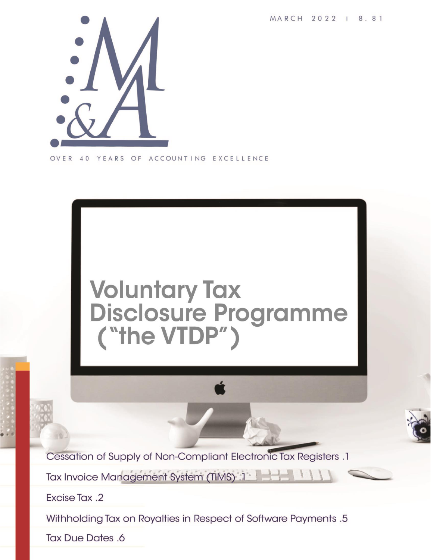MARCH 2022 | 8.81



OVER YEARS OF ACCOUNTING EXCELLENCE 40



Cessation of Supply of Non-Compliant Electronic Tax Registers .1

Tax Invoice Management System (TIMS) :1

Excise Tax .2

Withholding Tax on Royalties in Respect of Software Payments .5

**Tax Due Dates .6**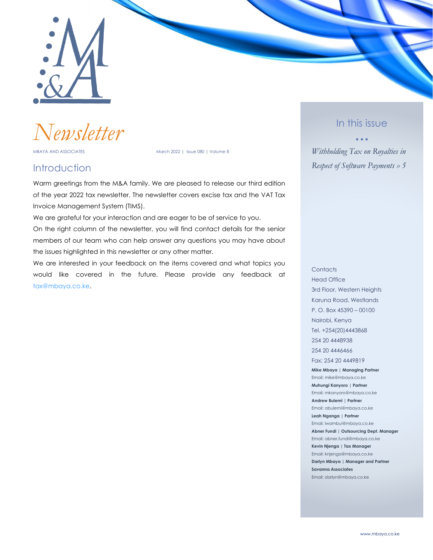

*Newsletter*

MBAYA AND ASSOCIATES MARCH 2022 | Issue 080 | Volume 8

#### **Introduction**

Warm greetings from the M&A family. We are pleased to release our third edition of the year 2022 tax newsletter. The newsletter covers excise tax and the VAT Tax Invoice Management System (TIMS).

We are grateful for your interaction and are eager to be of service to you. On the right column of the newsletter, you will find contact details for the senior members of our team who can help answer any questions you may have about the issues highlighted in this newsletter or any other matter.

We are interested in your feedback on the items covered and what topics you would like covered in the future. Please provide any feedback at [tax@mbaya.co.ke.](file:///C:/Users/ihink/Desktop/M&A%20Newsletter/Final_2022_vol8_issue79-90/tax@mbaya.co.ke)

#### In this issue

• • •

*Withholding Tax on Royalties in Respect of Software Payments » 5*

**Contacts** Head Office 3rd Floor, Western Heights Karuna Road, Westlands P. O. Box 45390 – 00100 Nairobi, Kenya Tel. +254(20)4443868 254 20 4448938 254 20 4446466 Fax: 254 20 4449819 **Mike Mbaya | Managing Partner** Email: mike@mbaya.co.ke **Muhungi Kanyoro | Partner** Email: mkanyoro@mbaya.co.ke **Andrew Bulemi | Partner** Email: abulemi@mbaya.co.ke **Leah Nganga | Partner** Email: lwambui@mbaya.co.ke

**Abner Fundi | Outsourcing Dept. Manager** Email: abner.fundi@mbaya.co.ke **Kevin Njenga | Tax Manager** Email: knjenga@mbaya.co.ke **Darlyn Mbaya | Manager and Partner Savanna Associates** Email: darlyn@mbaya.co.ke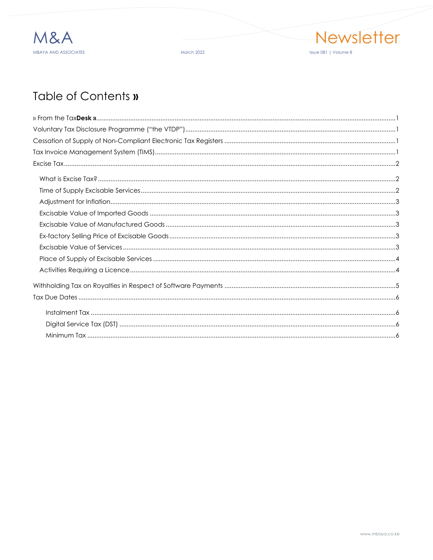

March 2022



## Table of Contents »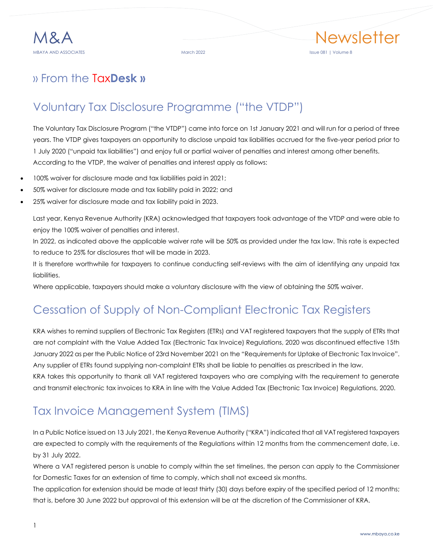## <span id="page-3-0"></span>» From the Tax**Desk »**

## <span id="page-3-1"></span>Voluntary Tax Disclosure Programme ("the VTDP")

The Voluntary Tax Disclosure Program ("the VTDP") came into force on 1st January 2021 and will run for a period of three years. The VTDP gives taxpayers an opportunity to disclose unpaid tax liabilities accrued for the five-year period prior to 1 July 2020 ("unpaid tax liabilities") and enjoy full or partial waiver of penalties and interest among other benefits. According to the VTDP, the waiver of penalties and interest apply as follows:

- 100% waiver for disclosure made and tax liabilities paid in 2021;
- 50% waiver for disclosure made and tax liability paid in 2022; and
- 25% waiver for disclosure made and tax liability paid in 2023.

Last year, Kenya Revenue Authority (KRA) acknowledged that taxpayers took advantage of the VTDP and were able to enjoy the 100% waiver of penalties and interest.

In 2022, as indicated above the applicable waiver rate will be 50% as provided under the tax law. This rate is expected to reduce to 25% for disclosures that will be made in 2023.

It is therefore worthwhile for taxpayers to continue conducting self-reviews with the aim of identifying any unpaid tax liabilities.

Where applicable, taxpayers should make a voluntary disclosure with the view of obtaining the 50% waiver.

## <span id="page-3-2"></span>Cessation of Supply of Non-Compliant Electronic Tax Registers

KRA wishes to remind suppliers of Electronic Tax Registers (ETRs) and VAT registered taxpayers that the supply of ETRs that are not complaint with the Value Added Tax (Electronic Tax Invoice) Regulations, 2020 was discontinued effective 15th January 2022 as per the Public Notice of 23rd November 2021 on the "Requirements for Uptake of Electronic Tax Invoice". Any supplier of ETRs found supplying non-complaint ETRs shall be liable to penalties as prescribed in the law.

KRA takes this opportunity to thank all VAT registered taxpayers who are complying with the requirement to generate and transmit electronic tax invoices to KRA in line with the Value Added Tax (Electronic Tax Invoice) Regulations, 2020.

## <span id="page-3-3"></span>Tax Invoice Management System (TIMS)

In a Public Notice issued on 13 July 2021, the Kenya Revenue Authority ("KRA") indicated that all VAT registered taxpayers are expected to comply with the requirements of the Regulations within 12 months from the commencement date, i.e. by 31 July 2022.

Where a VAT registered person is unable to comply within the set timelines, the person can apply to the Commissioner for Domestic Taxes for an extension of time to comply, which shall not exceed six months.

The application for extension should be made at least thirty (30) days before expiry of the specified period of 12 months; that is, before 30 June 2022 but approval of this extension will be at the discretion of the Commissioner of KRA.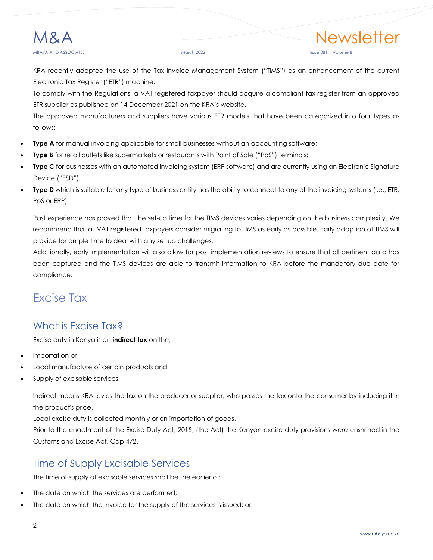#### March 2022 **Issue 081 | Volume 8**

KRA recently adopted the use of the Tax Invoice Management System ("TIMS") as an enhancement of the current Electronic Tax Register ("ETR") machine.

To comply with the Regulations, a VAT registered taxpayer should acquire a compliant tax register from an approved ETR supplier as published on 14 December 2021 on the KRA's website.

The approved manufacturers and suppliers have various ETR models that have been categorized into four types as follows:

- **Type A** for manual invoicing applicable for small businesses without an accounting software;
- **Type B** for retail outlets like supermarkets or restaurants with Point of Sale ("PoS") terminals;
- **Type C** for businesses with an automated invoicing system (ERP software) and are currently using an Electronic Signature Device ("ESD").
- **Type D** which is suitable for any type of business entity has the ability to connect to any of the invoicing systems (i.e., ETR, PoS or ERP).

Past experience has proved that the set-up time for the TIMS devices varies depending on the business complexity. We recommend that all VAT registered taxpayers consider migrating to TIMS as early as possible. Early adoption of TIMS will provide for ample time to deal with any set up challenges.

Additionally, early implementation will also allow for post implementation reviews to ensure that all pertinent data has been captured and the TIMS devices are able to transmit information to KRA before the mandatory due date for compliance.

## <span id="page-4-0"></span>Excise Tax

#### <span id="page-4-1"></span>What is Excise Tax?

Excise duty in Kenya is an **indirect tax** on the;

- Importation or
- Local manufacture of certain products and
- Supply of excisable services.

Indirect means KRA levies the tax on the producer or supplier, who passes the tax onto the consumer by including it in the product's price.

Local excise duty is collected monthly or on importation of goods.

Prior to the enactment of the Excise Duty Act, 2015, (the Act) the Kenyan excise duty provisions were enshrined in the Customs and Excise Act, Cap 472.

#### <span id="page-4-2"></span>Time of Supply Excisable Services

The time of supply of excisable services shall be the earlier of:

- The date on which the services are performed;
- The date on which the invoice for the supply of the services is issued; or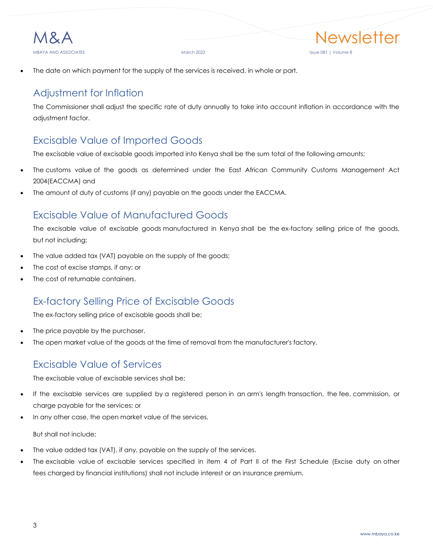

The date on which payment for the supply of the services is received, in whole or part.

### <span id="page-5-0"></span>Adjustment for Inflation

The Commissioner shall adjust the specific rate of duty annually to take into account inflation in accordance with the adjustment factor.

#### <span id="page-5-1"></span>Excisable Value of Imported Goods

The excisable value of excisable goods imported into Kenya shall be the sum total of the following amounts;

- The customs value of the goods as determined under the East African Community Customs Management Act 2004(EACCMA) and
- The amount of duty of customs (if any) payable on the goods under the EACCMA.

#### <span id="page-5-2"></span>Excisable Value of Manufactured Goods

The excisable value of excisable goods manufactured in Kenya shall be the ex-factory selling price of the goods, but not including;

- The value added tax (VAT) payable on the supply of the goods;
- The cost of excise stamps, if any; or
- The cost of returnable containers.

#### <span id="page-5-3"></span>Ex-factory Selling Price of Excisable Goods

The ex-factory selling price of excisable goods shall be;

- The price payable by the purchaser.
- The open market value of the goods at the time of removal from the manufacturer's factory.

#### <span id="page-5-4"></span>Excisable Value of Services

The excisable value of excisable services shall be;

- If the excisable services are supplied by a registered person in an arm's length transaction, the fee, commission, or charge payable for the services; or
- In any other case, the open market value of the services.

But shall not include;

- The value added tax (VAT), if any, payable on the supply of the services.
- The excisable value of excisable services specified in item 4 of Part II of the First Schedule (Excise duty on other fees charged by financial institutions) shall not include interest or an insurance premium.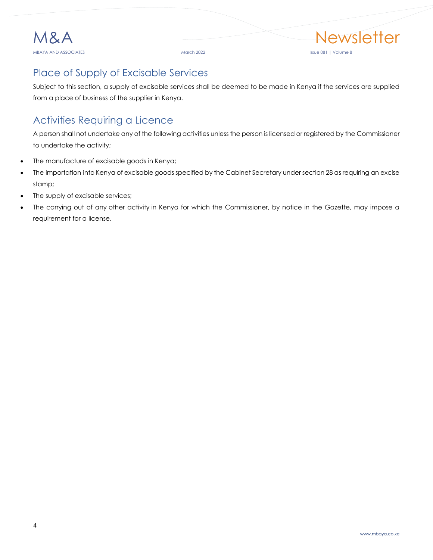## <span id="page-6-0"></span>Place of Supply of Excisable Services

Subject to this section, a supply of excisable services shall be deemed to be made in Kenya if the services are supplied from a place of business of the supplier in Kenya.

## <span id="page-6-1"></span>Activities Requiring a Licence

A person shall not undertake any of the following activities unless the person is licensed or registered by the Commissioner to undertake the activity;

- The manufacture of excisable goods in Kenya;
- The importation into Kenya of excisable goods specified by the Cabinet Secretary under section 28 as requiring an excise stamp;
- The supply of excisable services;
- The carrying out of any other activity in Kenya for which the Commissioner, by notice in the Gazette, may impose a requirement for a license.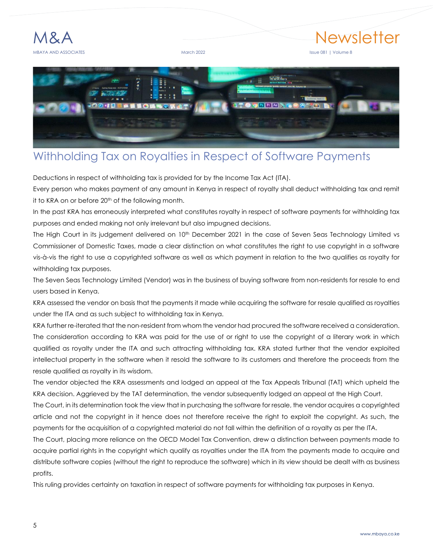

# Newsletter



## <span id="page-7-0"></span>Withholding Tax on Royalties in Respect of Software Payments

Deductions in respect of withholding tax is provided for by the Income Tax Act (ITA).

Every person who makes payment of any amount in Kenya in respect of royalty shall deduct withholding tax and remit it to KRA on or before 20<sup>th</sup> of the following month.

In the past KRA has erroneously interpreted what constitutes royalty in respect of software payments for withholding tax purposes and ended making not only irrelevant but also impugned decisions.

The High Court in its judgement delivered on 10<sup>th</sup> December 2021 in the case of Seven Seas Technology Limited vs Commissioner of Domestic Taxes, made a clear distinction on what constitutes the right to use copyright in a software vis-à-vis the right to use a copyrighted software as well as which payment in relation to the two qualifies as royalty for withholding tax purposes.

The Seven Seas Technology Limited (Vendor) was in the business of buying software from non-residents for resale to end users based in Kenya.

KRA assessed the vendor on basis that the payments it made while acquiring the software for resale qualified as royalties under the ITA and as such subject to withholding tax in Kenya.

KRA further re-iterated that the non-resident from whom the vendor had procured the software received a consideration. The consideration according to KRA was paid for the use of or right to use the copyright of a literary work in which qualified as royalty under the ITA and such attracting withholding tax. KRA stated further that the vendor exploited intellectual property in the software when it resold the software to its customers and therefore the proceeds from the resale qualified as royalty in its wisdom.

The vendor objected the KRA assessments and lodged an appeal at the Tax Appeals Tribunal (TAT) which upheld the KRA decision. Aggrieved by the TAT determination, the vendor subsequently lodged an appeal at the High Court.

The Court, in its determination took the view that in purchasing the software for resale, the vendor acquires a copyrighted article and not the copyright in it hence does not therefore receive the right to exploit the copyright. As such, the payments for the acquisition of a copyrighted material do not fall within the definition of a royalty as per the ITA.

The Court, placing more reliance on the OECD Model Tax Convention, drew a distinction between payments made to acquire partial rights in the copyright which qualify as royalties under the ITA from the payments made to acquire and distribute software copies (without the right to reproduce the software) which in its view should be dealt with as business profits.

This ruling provides certainty on taxation in respect of software payments for withholding tax purposes in Kenya.